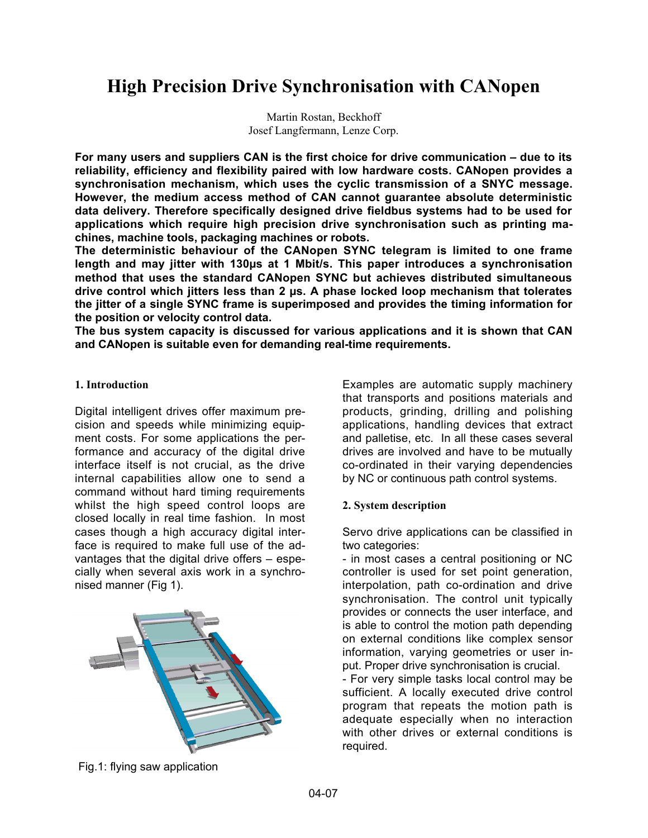# **High Precision Drive Synchronisation with CANopen**

Martin Rostan, Beckhoff Josef Langfermann, Lenze Corp.

**For many users and suppliers CAN is the first choice for drive communication – due to its reliability, efficiency and flexibility paired with low hardware costs. CANopen provides a synchronisation mechanism, which uses the cyclic transmission of a SNYC message. However, the medium access method of CAN cannot guarantee absolute deterministic data delivery. Therefore specifically designed drive fieldbus systems had to be used for applications which require high precision drive synchronisation such as printing machines, machine tools, packaging machines or robots.**

**The deterministic behaviour of the CANopen SYNC telegram is limited to one frame length and may jitter with 130µs at 1 Mbit/s. This paper introduces a synchronisation method that uses the standard CANopen SYNC but achieves distributed simultaneous drive control which jitters less than 2 µs. A phase locked loop mechanism that tolerates the jitter of a single SYNC frame is superimposed and provides the timing information for the position or velocity control data.**

**The bus system capacity is discussed for various applications and it is shown that CAN and CANopen is suitable even for demanding real-time requirements.**

### **1. Introduction**

Digital intelligent drives offer maximum precision and speeds while minimizing equipment costs. For some applications the performance and accuracy of the digital drive interface itself is not crucial, as the drive internal capabilities allow one to send a command without hard timing requirements whilst the high speed control loops are closed locally in real time fashion. In most cases though a high accuracy digital interface is required to make full use of the advantages that the digital drive offers – especially when several axis work in a synchronised manner (Fig 1).



Fig.1: flying saw application

Examples are automatic supply machinery that transports and positions materials and products, grinding, drilling and polishing applications, handling devices that extract and palletise, etc. In all these cases several drives are involved and have to be mutually co-ordinated in their varying dependencies by NC or continuous path control systems.

## **2. System description**

Servo drive applications can be classified in two categories:

- in most cases a central positioning or NC controller is used for set point generation, interpolation, path co-ordination and drive synchronisation. The control unit typically provides or connects the user interface, and is able to control the motion path depending on external conditions like complex sensor information, varying geometries or user input. Proper drive synchronisation is crucial.

- For very simple tasks local control may be sufficient. A locally executed drive control program that repeats the motion path is adequate especially when no interaction with other drives or external conditions is required.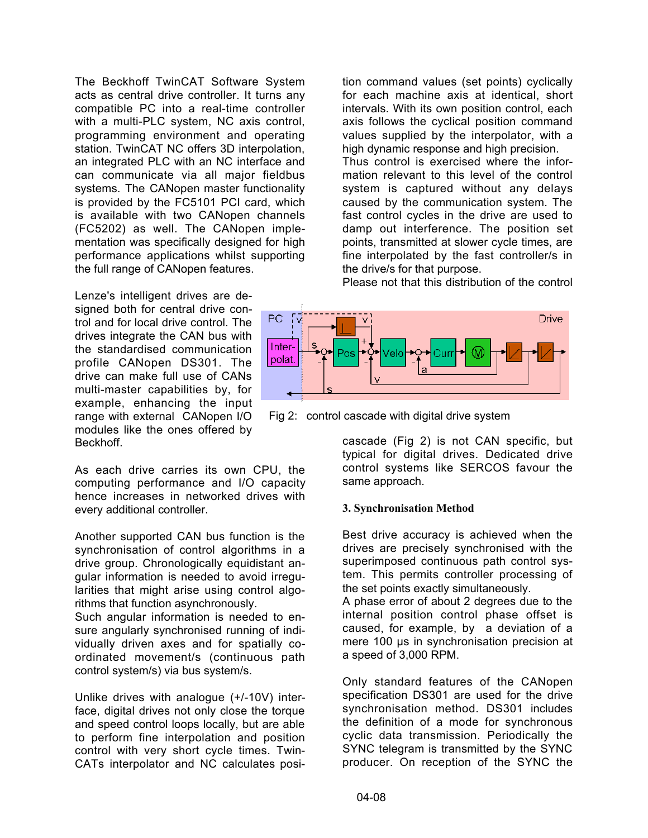The Beckhoff TwinCAT Software System acts as central drive controller. It turns any compatible PC into a real-time controller with a multi-PLC system, NC axis control, programming environment and operating station. TwinCAT NC offers 3D interpolation, an integrated PLC with an NC interface and can communicate via all major fieldbus systems. The CANopen master functionality is provided by the FC5101 PCI card, which is available with two CANopen channels (FC5202) as well. The CANopen implementation was specifically designed for high performance applications whilst supporting the full range of CANopen features.

Lenze's intelligent drives are designed both for central drive control and for local drive control. The drives integrate the CAN bus with the standardised communication profile CANopen DS301. The drive can make full use of CANs multi-master capabilities by, for example, enhancing the input range with external CANopen I/O modules like the ones offered by Beckhoff.

As each drive carries its own CPU, the computing performance and I/O capacity hence increases in networked drives with every additional controller.

Another supported CAN bus function is the synchronisation of control algorithms in a drive group. Chronologically equidistant angular information is needed to avoid irregularities that might arise using control algorithms that function asynchronously.

Such angular information is needed to ensure angularly synchronised running of individually driven axes and for spatially coordinated movement/s (continuous path control system/s) via bus system/s.

Unlike drives with analogue (+/-10V) interface, digital drives not only close the torque and speed control loops locally, but are able to perform fine interpolation and position control with very short cycle times. Twin-CATs interpolator and NC calculates posi-

tion command values (set points) cyclically for each machine axis at identical, short intervals. With its own position control, each axis follows the cyclical position command values supplied by the interpolator, with a high dynamic response and high precision. Thus control is exercised where the information relevant to this level of the control system is captured without any delays caused by the communication system. The fast control cycles in the drive are used to damp out interference. The position set points, transmitted at slower cycle times, are fine interpolated by the fast controller/s in the drive/s for that purpose.

Please not that this distribution of the control



Fig 2: control cascade with digital drive system

cascade (Fig 2) is not CAN specific, but typical for digital drives. Dedicated drive control systems like SERCOS favour the same approach.

#### **3. Synchronisation Method**

Best drive accuracy is achieved when the drives are precisely synchronised with the superimposed continuous path control system. This permits controller processing of the set points exactly simultaneously.

A phase error of about 2 degrees due to the internal position control phase offset is caused, for example, by a deviation of a mere 100 us in synchronisation precision at a speed of 3,000 RPM.

Only standard features of the CANopen specification DS301 are used for the drive synchronisation method. DS301 includes the definition of a mode for synchronous cyclic data transmission. Periodically the SYNC telegram is transmitted by the SYNC producer. On reception of the SYNC the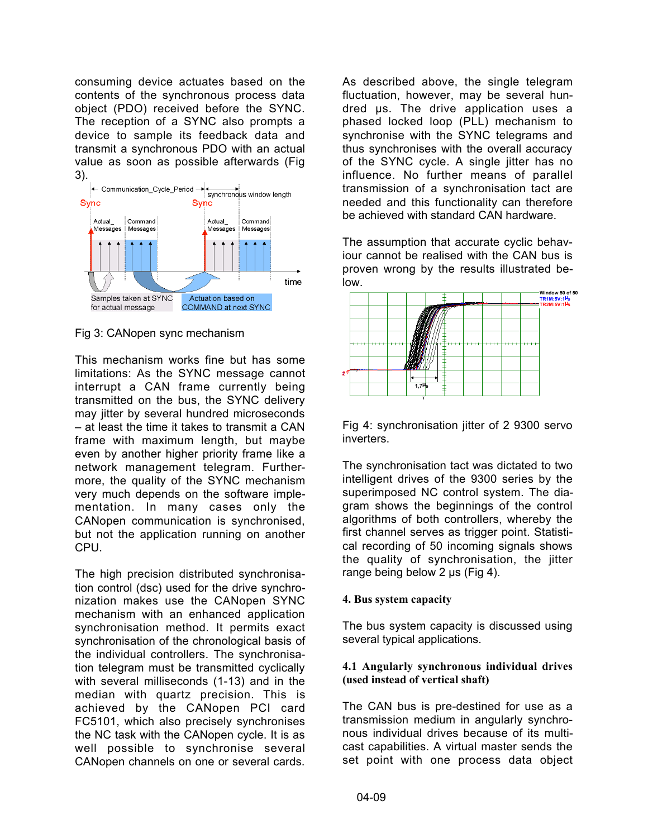consuming device actuates based on the contents of the synchronous process data object (PDO) received before the SYNC. The reception of a SYNC also prompts a device to sample its feedback data and transmit a synchronous PDO with an actual value as soon as possible afterwards (Fig



Fig 3: CANopen sync mechanism

This mechanism works fine but has some limitations: As the SYNC message cannot interrupt a CAN frame currently being transmitted on the bus, the SYNC delivery may jitter by several hundred microseconds – at least the time it takes to transmit a CAN frame with maximum length, but maybe even by another higher priority frame like a network management telegram. Furthermore, the quality of the SYNC mechanism very much depends on the software implementation. In many cases only the CANopen communication is synchronised, but not the application running on another CPU.

The high precision distributed synchronisation control (dsc) used for the drive synchronization makes use the CANopen SYNC mechanism with an enhanced application synchronisation method. It permits exact synchronisation of the chronological basis of the individual controllers. The synchronisation telegram must be transmitted cyclically with several milliseconds (1-13) and in the median with quartz precision. This is achieved by the CANopen PCI card FC5101, which also precisely synchronises the NC task with the CANopen cycle. It is as well possible to synchronise several CANopen channels on one or several cards.

As described above, the single telegram fluctuation, however, may be several hundred µs. The drive application uses a phased locked loop (PLL) mechanism to synchronise with the SYNC telegrams and thus synchronises with the overall accuracy of the SYNC cycle. A single jitter has no influence. No further means of parallel transmission of a synchronisation tact are needed and this functionality can therefore be achieved with standard CAN hardware.

The assumption that accurate cyclic behaviour cannot be realised with the CAN bus is proven wrong by the results illustrated below.



Fig 4: synchronisation jitter of 2 9300 servo inverters.

The synchronisation tact was dictated to two intelligent drives of the 9300 series by the superimposed NC control system. The diagram shows the beginnings of the control algorithms of both controllers, whereby the first channel serves as trigger point. Statistical recording of 50 incoming signals shows the quality of synchronisation, the jitter range being below 2 µs (Fig 4).

## **4. Bus system capacity**

The bus system capacity is discussed using several typical applications.

## **4.1 Angularly synchronous individual drives (used instead of vertical shaft)**

The CAN bus is pre-destined for use as a transmission medium in angularly synchronous individual drives because of its multicast capabilities. A virtual master sends the set point with one process data object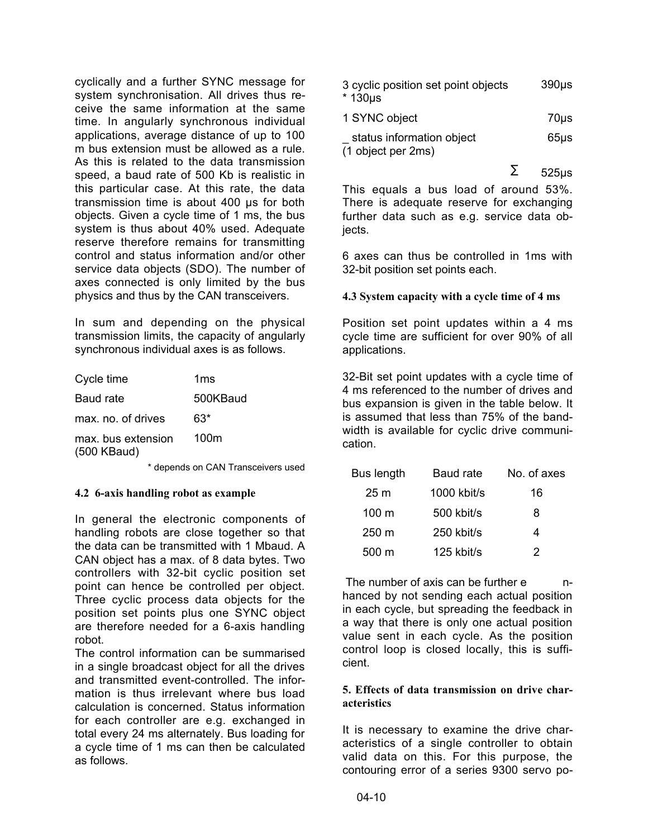cyclically and a further SYNC message for system synchronisation. All drives thus receive the same information at the same time. In angularly synchronous individual applications, average distance of up to 100 m bus extension must be allowed as a rule. As this is related to the data transmission speed, a baud rate of 500 Kb is realistic in this particular case. At this rate, the data transmission time is about 400 µs for both objects. Given a cycle time of 1 ms, the bus system is thus about 40% used. Adequate reserve therefore remains for transmitting control and status information and/or other service data objects (SDO). The number of axes connected is only limited by the bus physics and thus by the CAN transceivers.

In sum and depending on the physical transmission limits, the capacity of angularly synchronous individual axes is as follows.

| 1ms      |
|----------|
| 500KBaud |
| 63*      |
| 100m     |
|          |

\* depends on CAN Transceivers used

#### **4.2 6-axis handling robot as example**

In general the electronic components of handling robots are close together so that the data can be transmitted with 1 Mbaud. A CAN object has a max. of 8 data bytes. Two controllers with 32-bit cyclic position set point can hence be controlled per object. Three cyclic process data objects for the position set points plus one SYNC object are therefore needed for a 6-axis handling robot.

The control information can be summarised in a single broadcast object for all the drives and transmitted event-controlled. The information is thus irrelevant where bus load calculation is concerned. Status information for each controller are e.g. exchanged in total every 24 ms alternately. Bus loading for a cycle time of 1 ms can then be calculated as follows.

| 3 cyclic position set point objects | $390µ$ s |
|-------------------------------------|----------|
| * 130µs                             |          |

| 1 SYNC object             | 70us |
|---------------------------|------|
| status information object | 65us |
| (1 object per 2ms)        |      |

 $\Sigma$  525us

This equals a bus load of around 53%. There is adequate reserve for exchanging further data such as e.g. service data objects.

6 axes can thus be controlled in 1ms with 32-bit position set points each.

### **4.3 System capacity with a cycle time of 4 ms**

Position set point updates within a 4 ms cycle time are sufficient for over 90% of all applications.

32-Bit set point updates with a cycle time of 4 ms referenced to the number of drives and bus expansion is given in the table below. It is assumed that less than 75% of the bandwidth is available for cyclic drive communication.

| Bus length      | Baud rate    | No. of axes |
|-----------------|--------------|-------------|
| 25 <sub>m</sub> | 1000 kbit/s  | 16          |
| $100 \text{ m}$ | 500 kbit/s   | 8           |
| $250 \text{ m}$ | 250 kbit/s   | 4           |
| 500 m           | $125$ kbit/s | 2           |

The number of axis can be further e mhanced by not sending each actual position in each cycle, but spreading the feedback in a way that there is only one actual position value sent in each cycle. As the position control loop is closed locally, this is sufficient.

#### **5. Effects of data transmission on drive characteristics**

It is necessary to examine the drive characteristics of a single controller to obtain valid data on this. For this purpose, the contouring error of a series 9300 servo po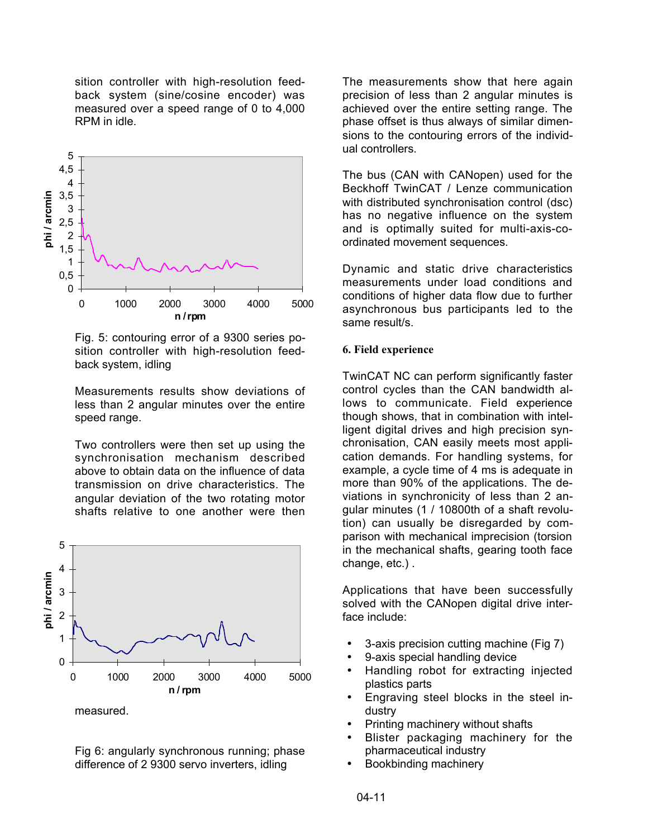sition controller with high-resolution feedback system (sine/cosine encoder) was measured over a speed range of 0 to 4,000 RPM in idle.



Fig. 5: contouring error of a 9300 series position controller with high-resolution feedback system, idling

Measurements results show deviations of less than 2 angular minutes over the entire speed range.

Two controllers were then set up using the synchronisation mechanism described above to obtain data on the influence of data transmission on drive characteristics. The angular deviation of the two rotating motor shafts relative to one another were then



Fig 6: angularly synchronous running; phase difference of 2 9300 servo inverters, idling

The measurements show that here again precision of less than 2 angular minutes is achieved over the entire setting range. The phase offset is thus always of similar dimensions to the contouring errors of the individual controllers.

The bus (CAN with CANopen) used for the Beckhoff TwinCAT / Lenze communication with distributed synchronisation control (dsc) has no negative influence on the system and is optimally suited for multi-axis-coordinated movement sequences.

Dynamic and static drive characteristics measurements under load conditions and conditions of higher data flow due to further asynchronous bus participants led to the same result/s.

#### **6. Field experience**

TwinCAT NC can perform significantly faster control cycles than the CAN bandwidth allows to communicate. Field experience though shows, that in combination with intelligent digital drives and high precision synchronisation, CAN easily meets most application demands. For handling systems, for example, a cycle time of 4 ms is adequate in more than 90% of the applications. The deviations in synchronicity of less than 2 angular minutes (1 / 10800th of a shaft revolution) can usually be disregarded by comparison with mechanical imprecision (torsion in the mechanical shafts, gearing tooth face change, etc.) .

Applications that have been successfully solved with the CANopen digital drive interface include:

- 3-axis precision cutting machine (Fig 7)
- 9-axis special handling device
- Handling robot for extracting injected plastics parts
- Engraving steel blocks in the steel industry
- Printing machinery without shafts
- Blister packaging machinery for the pharmaceutical industry
- Bookbinding machinery